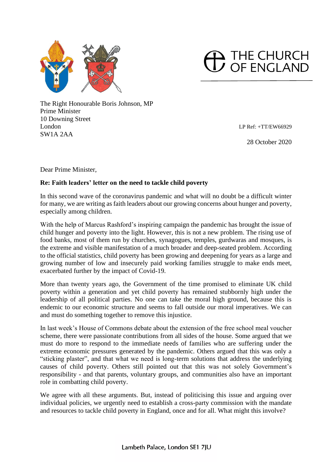



The Right Honourable Boris Johnson, MP Prime Minister 10 Downing Street London LP Ref: +TT/EW66929 SW1A 2AA

28 October 2020

Dear Prime Minister,

## **Re: Faith leaders' letter on the need to tackle child poverty**

In this second wave of the coronavirus pandemic and what will no doubt be a difficult winter for many, we are writing as faith leaders about our growing concerns about hunger and poverty, especially among children.

With the help of Marcus Rashford's inspiring campaign the pandemic has brought the issue of child hunger and poverty into the light. However, this is not a new problem. The rising use of food banks, most of them run by churches, synagogues, temples, gurdwaras and mosques, is the extreme and visible manifestation of a much broader and deep-seated problem. According to the official statistics, child poverty has been growing and deepening for years as a large and growing number of low and insecurely paid working families struggle to make ends meet, exacerbated further by the impact of Covid-19.

More than twenty years ago, the Government of the time promised to eliminate UK child poverty within a generation and yet child poverty has remained stubbornly high under the leadership of all political parties. No one can take the moral high ground, because this is endemic to our economic structure and seems to fall outside our moral imperatives. We can and must do something together to remove this injustice.

In last week's House of Commons debate about the extension of the free school meal voucher scheme, there were passionate contributions from all sides of the house. Some argued that we must do more to respond to the immediate needs of families who are suffering under the extreme economic pressures generated by the pandemic. Others argued that this was only a "sticking plaster", and that what we need is long-term solutions that address the underlying causes of child poverty. Others still pointed out that this was not solely Government's responsibility - and that parents, voluntary groups, and communities also have an important role in combatting child poverty.

We agree with all these arguments. But, instead of politicising this issue and arguing over individual policies, we urgently need to establish a cross-party commission with the mandate and resources to tackle child poverty in England, once and for all. What might this involve?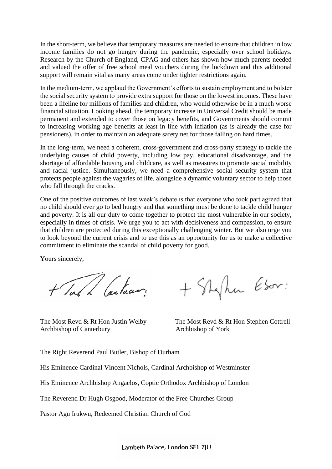In the short-term, we believe that temporary measures are needed to ensure that children in low income families do not go hungry during the pandemic, especially over school holidays. Research by the Church of England, CPAG and others has shown how much parents needed and valued the offer of free school meal vouchers during the lockdown and this additional support will remain vital as many areas come under tighter restrictions again.

In the medium-term, we applaud the Government's efforts to sustain employment and to bolster the social security system to provide extra support for those on the lowest incomes. These have been a lifeline for millions of families and children, who would otherwise be in a much worse financial situation. Looking ahead, the temporary increase in Universal Credit should be made permanent and extended to cover those on legacy benefits, and Governments should commit to increasing working age benefits at least in line with inflation (as is already the case for pensioners), in order to maintain an adequate safety net for those falling on hard times.

In the long-term, we need a coherent, cross-government and cross-party strategy to tackle the underlying causes of child poverty, including low pay, educational disadvantage, and the shortage of affordable housing and childcare, as well as measures to promote social mobility and racial justice. Simultaneously, we need a comprehensive social security system that protects people against the vagaries of life, alongside a dynamic voluntary sector to help those who fall through the cracks.

One of the positive outcomes of last week's debate is that everyone who took part agreed that no child should ever go to bed hungry and that something must be done to tackle child hunger and poverty. It is all our duty to come together to protect the most vulnerable in our society, especially in times of crisis. We urge you to act with decisiveness and compassion, to ensure that children are protected during this exceptionally challenging winter. But we also urge you to look beyond the current crisis and to use this as an opportunity for us to make a collective commitment to eliminate the scandal of child poverty for good.

Yours sincerely,

+ Tub & Cantaury

+ Shephen Ebor:

Archbishop of Canterbury Archbishop of York

The Most Revd & Rt Hon Justin Welby The Most Revd & Rt Hon Stephen Cottrell

The Right Reverend Paul Butler, Bishop of Durham

His Eminence Cardinal Vincent Nichols, Cardinal Archbishop of Westminster

His Eminence Archbishop Angaelos, Coptic Orthodox Archbishop of London

The Reverend Dr Hugh Osgood, Moderator of the Free Churches Group

Pastor Agu Irukwu, Redeemed Christian Church of God